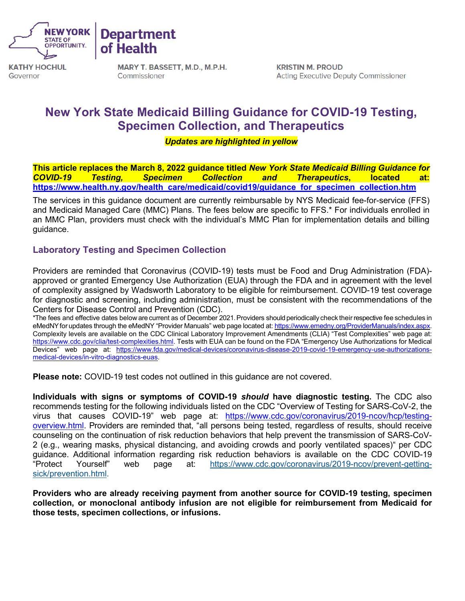

**Department of Health** 

**KATHY HOCHUL**  Governor

**MARY T. BASSETT, M.D., M.P.H.**  Commissioner

**KRISTIN M. PROUD**  Acting Executive Deputy Commissioner

# **New York State Medicaid Billing Guidance for COVID-19 Testing, Specimen Collection, and Therapeutics**

*Updates are highlighted in yellow* 

 **[https://www.health.ny.gov/health\\_care/medicaid/covid19/guidance\\_for\\_specimen\\_collection.htm](https://www.health.ny.gov/health_care/medicaid/covid19/guidance_for_specimen_collection.htm) This article replaces the March 8, 2022 guidance titled** *New York State Medicaid Billing Guidance for COVID-19 Testing, Specimen Collection and Therapeutics***, located at:** 

 and Medicaid Managed Care (MMC) Plans. The fees below are specific to FFS.\* For individuals enrolled in The services in this guidance document are currently reimbursable by NYS Medicaid fee-for-service (FFS) an MMC Plan, providers must check with the individual's MMC Plan for implementation details and billing guidance.

## **Laboratory Testing and Specimen Collection**

 of complexity assigned by Wadsworth Laboratory to be eligible for reimbursement. COVID-19 test coverage Providers are reminded that Coronavirus (COVID-19) tests must be Food and Drug Administration (FDA) approved or granted Emergency Use Authorization (EUA) through the FDA and in agreement with the level for diagnostic and screening, including administration, must be consistent with the recommendations of the Centers for Disease Control and Prevention (CDC).

 \*The fees and effective dates below are current as of December 2021.Providers shouldperiodically check their respective fee schedules in eMedNY for updates through the eMedNY "Provider Manuals" web page located at: <u>https://www.emedny.org/ProviderManuals/index.aspx</u>. Complexity levels are available on the CDC Clinical Laboratory Improvement Amendments (CLIA) "Test Complexities" web page at: [https://www.cdc.gov/clia/test-complexities.html.](https://www.cdc.gov/clia/test-complexities.html) Tests with EUA can be found on the FDA "Emergency Use Authorizations for Medical Devices" web page at: [https://www.fda.gov/medical-devices/coronavirus-disease-2019-covid-19-emergency-use-authorizations](https://www.fda.gov/medical-devices/coronavirus-disease-2019-covid-19-emergency-use-authorizations-medical-devices/in-vitro-diagnostics-euas)[medical-devices/in-vitro-diagnostics-euas.](https://www.fda.gov/medical-devices/coronavirus-disease-2019-covid-19-emergency-use-authorizations-medical-devices/in-vitro-diagnostics-euas)

**Please note:** COVID-19 test codes not outlined in this guidance are not covered.

 recommends testing for the following individuals listed on the CDC "Overview of Testing for SARS-CoV-2, the [overview.html.](https://www.cdc.gov/coronavirus/2019-ncov/hcp/testing-overview.html) Providers are reminded that, "all persons being tested, regardless of results, should receive 2 (e.g., wearing masks, physical distancing, and avoiding crowds and poorly ventilated spaces)" per CDC **Individuals with signs or symptoms of COVID-19** *should* **have diagnostic testing.** The CDC also virus that causes COVID-19" web page at: [https://www.cdc.gov/coronavirus/2019-ncov/hcp/testing](https://www.cdc.gov/coronavirus/2019-ncov/hcp/testing-overview.html)counseling on the continuation of risk reduction behaviors that help prevent the transmission of SARS-CoVguidance. Additional information regarding risk reduction behaviors is available on the CDC COVID-19<br>"Protect Yourself" web page at: https://www.cdc.gov/coronavirus/2019-ncov/prevent-gettingweb page at: [https://www.cdc.gov/coronavirus/2019-ncov/prevent-getting](https://www.cdc.gov/coronavirus/2019-ncov/prevent-getting-sick/prevention.html)[sick/prevention.html.](https://www.cdc.gov/coronavirus/2019-ncov/prevent-getting-sick/prevention.html)

 **Providers who are already receiving payment from another source for COVID-19 testing, specimen collection, or monoclonal antibody infusion are not eligible for reimbursement from Medicaid for those tests, specimen collections, or infusions.**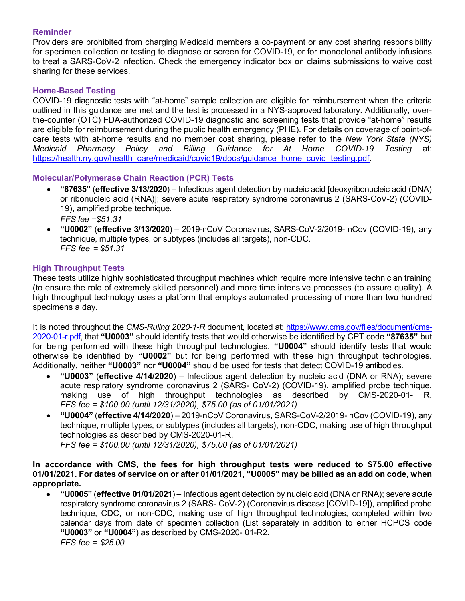#### **Reminder**

 Providers are prohibited from charging Medicaid members a co-payment or any cost sharing responsibility for specimen collection or testing to diagnose or screen for COVID-19, or for monoclonal antibody infusions to treat a SARS-CoV-2 infection. Check the emergency indicator box on claims submissions to waive cost sharing for these services.

#### **Home-Based Testing**

 COVID-19 diagnostic tests with "at-home" sample collection are eligible for reimbursement when the criteria  *Medicaid Pharmacy Policy and Billing Guidance for At Home COVID-19 Testing* at: outlined in this guidance are met and the test is processed in a NYS-approved laboratory. Additionally, overthe-counter (OTC) FDA-authorized COVID-19 diagnostic and screening tests that provide "at-home" results are eligible for reimbursement during the public health emergency (PHE). For details on coverage of point-ofcare tests with at-home results and no member cost sharing, please refer to the *New York State (NYS)*  [https://health.ny.gov/health\\_care/medicaid/covid19/docs/guidance\\_home\\_covid\\_testing.pdf.](https://health.ny.gov/health_care/medicaid/covid19/docs/guidance_home_covid_testing.pdf)

#### **Molecular/Polymerase Chain Reaction (PCR) Tests**

- $\bullet$  *FFS fee =\$51.31*  • **"87635"** (**effective 3/13/2020**) – Infectious agent detection by nucleic acid [deoxyribonucleic acid (DNA) or ribonucleic acid (RNA)]; severe acute respiratory syndrome coronavirus 2 (SARS-CoV-2) (COVID-19), amplified probe technique.
- • **"U0002"** (**effective 3/13/2020**) 2019-nCoV Coronavirus, SARS-CoV-2/2019- nCov (COVID-19), any  *FFS fee = \$51.31*  technique, multiple types, or subtypes (includes all targets), non-CDC.

#### **High Throughput Tests**

These tests utilize highly sophisticated throughput machines which require more intensive technician training (to ensure the role of extremely skilled personnel) and more time intensive processes (to assure quality). A high throughput technology uses a platform that employs automated processing of more than two hundred specimens a day.

 It is noted throughout the *CMS-Ruling 2020-1-R* document, located at: [https://www.cms.gov/files/document/cms-](https://www.cms.gov/files/document/cms-2020-01-r.pdf) [2020-01-r.pdf,](https://www.cms.gov/files/document/cms-2020-01-r.pdf) that **"U0003"** should identify tests that would otherwise be identified by CPT code **"87635"** but for being performed with these high throughput technologies. **"U0004"** should identify tests that would otherwise be identified by **"U0002"** but for being performed with these high throughput technologies. Additionally, neither **"U0003"** nor **"U0004"** should be used for tests that detect COVID-19 antibodies.

- • **"U0003"** (**effective 4/14/2020**) Infectious agent detection by nucleic acid (DNA or RNA); severe making use of high throughput technologies as described by CMS-2020-01- R.  *FFS fee = \$100.00 (until 12/31/2020), \$75.00 (as of 01/01/2021)*  acute respiratory syndrome coronavirus 2 (SARS- CoV-2) (COVID-19), amplified probe technique,
- • **"U0004"** (**effective 4/14/2020**) 2019-nCoV Coronavirus, SARS-CoV-2/2019- nCov (COVID-19), any technique, multiple types, or subtypes (includes all targets), non-CDC, making use of high throughput technologies as described by CMS-2020-01-R.

 *FFS fee = \$100.00 (until 12/31/2020), \$75.00 (as of 01/01/2021)* 

#### **In accordance with CMS, the fees for high throughput tests were reduced to \$75.00 effective 01/01/2021. For dates of service on or after 01/01/2021, "U0005" may be billed as an add on code, when appropriate.**

 $\bullet$  calendar days from date of specimen collection (List separately in addition to either HCPCS code  *FFS fee = \$25.00* • **"U0005"** (**effective 01/01/2021**) – Infectious agent detection by nucleic acid (DNA or RNA); severe acute respiratory syndrome coronavirus 2 (SARS- CoV-2) (Coronavirus disease [COVID-19]), amplified probe technique, CDC, or non-CDC, making use of high throughput technologies, completed within two **"U0003"** or **"U0004"**) as described by CMS-2020- 01-R2.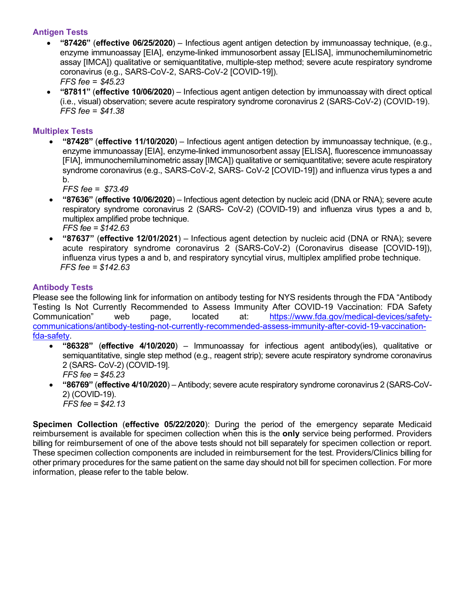#### **Antigen Tests**

- *FFS fee = \$45.23*  • **"87426"** (**effective 06/25/2020**) – Infectious agent antigen detection by immunoassay technique, (e.g., enzyme immunoassay [EIA], enzyme-linked immunosorbent assay [ELISA], immunochemiluminometric assay [IMCA]) qualitative or semiquantitative, multiple-step method; severe acute respiratory syndrome coronavirus (e.g., SARS-CoV-2, SARS-CoV-2 [COVID-19]).
- • **"87811"** (**effective 10/06/2020**) Infectious agent antigen detection by immunoassay with direct optical  *FFS fee = \$41.38*  (i.e., visual) observation; severe acute respiratory syndrome coronavirus 2 (SARS-CoV-2) (COVID-19).

#### **Multiplex Tests**

 syndrome coronavirus (e.g., SARS-CoV-2, SARS- CoV-2 [COVID-19]) and influenza virus types a and • **"87428"** (**effective 11/10/2020**) – Infectious agent antigen detection by immunoassay technique, (e.g., enzyme immunoassay [EIA], enzyme-linked immunosorbent assay [ELISA], fluorescence immunoassay [FIA], immunochemiluminometric assay [IMCA]) qualitative or semiquantitative; severe acute respiratory b.

 *FFS fee = \$73.49* 

- **"87636"** (**effective 10/06/2020**) Infectious agent detection by nucleic acid (DNA or RNA); severe acute respiratory syndrome coronavirus 2 (SARS- CoV-2) (COVID-19) and influenza virus types a and b, multiplex amplified probe technique. *FFS fee = \$142.63*
- **"87637"** (**effective 12/01/2021**) Infectious agent detection by nucleic acid (DNA or RNA); severe acute respiratory syndrome coronavirus 2 (SARS-CoV-2) (Coronavirus disease [COVID-19]), influenza virus types a and b, and respiratory syncytial virus, multiplex amplified probe technique. *FFS fee = \$142.63*

#### **Antibody Tests**

Please see the following link for information on antibody testing for NYS residents through the FDA "Antibody Testing Is Not Currently Recommended to Assess Immunity After COVID-19 Vaccination: FDA Safety Communication" web page, located at: [https://www.fda.gov/medical-devices/safety](https://www.fda.gov/medical-devices/safety-communications/antibody-testing-not-currently-recommended-assess-immunity-after-covid-19-vaccination-fda-safety)[communications/antibody-testing-not-currently-recommended-assess-immunity-after-covid-19-vaccination](https://www.fda.gov/medical-devices/safety-communications/antibody-testing-not-currently-recommended-assess-immunity-after-covid-19-vaccination-fda-safety)[fda-safety.](https://www.fda.gov/medical-devices/safety-communications/antibody-testing-not-currently-recommended-assess-immunity-after-covid-19-vaccination-fda-safety)

- $\bullet$  semiquantitative, single step method (e.g., reagent strip); severe acute respiratory syndrome coronavirus • **"86328"** (**effective 4/10/2020**) – Immunoassay for infectious agent antibody(ies), qualitative or 2 (SARS- CoV-2) (COVID-19]. *FFS fee = \$45.23*
- *FFS fee = \$42.13*  • **"86769"** (**effective 4/10/2020**) – Antibody; severe acute respiratory syndrome coronavirus 2 (SARS-CoV-2) (COVID-19).

 reimbursement is available for specimen collection when this is the **only** service being performed. Providers billing for reimbursement of one of the above tests should not bill separately for specimen collection or report. other primary procedures for the same patient on the same day should not bill for specimen collection. For more information, please refer to the table below. **Specimen Collection** (**effective 05/22/2020**): During the period of the emergency separate Medicaid These specimen collection components are included in reimbursement for the test. Providers/Clinics billing for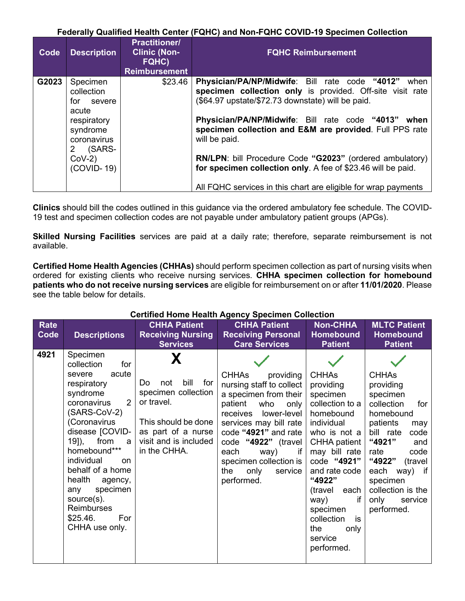#### **Federally Qualified Health Center (FQHC) and Non-FQHC COVID-19 Specimen Collection**

| Co <sub>de</sub> | <b>Description</b>                                                       | <b>Practitioner/</b><br><b>Clinic (Non-</b><br>FQHC)<br><b>Reimbursement</b> | <b>FQHC Reimbursement</b>                                                                                                                                                |
|------------------|--------------------------------------------------------------------------|------------------------------------------------------------------------------|--------------------------------------------------------------------------------------------------------------------------------------------------------------------------|
| G2023            | Specimen<br>collection<br>for severe                                     | \$23.46                                                                      | Physician/PA/NP/Midwife: Bill rate code "4012"<br>when<br>specimen collection only is provided. Off-site visit rate<br>(\$64.97 upstate/\$72.73 downstate) will be paid. |
|                  | acute<br>respiratory<br>syndrome<br>coronavirus<br>(SARS-<br>$2^{\circ}$ |                                                                              | Physician/PA/NP/Midwife: Bill rate code "4013" when<br>specimen collection and E&M are provided. Full PPS rate<br>will be paid.                                          |
|                  | $CoV-2)$<br>$(COVID-19)$                                                 |                                                                              | <b>RN/LPN:</b> bill Procedure Code "G2023" (ordered ambulatory)<br>for specimen collection only. A fee of \$23.46 will be paid.                                          |
|                  |                                                                          |                                                                              | All FQHC services in this chart are eligible for wrap payments                                                                                                           |

**Clinics** should bill the codes outlined in this guidance via the ordered ambulatory fee schedule. The COVID-19 test and specimen collection codes are not payable under ambulatory patient groups (APGs).

**Skilled Nursing Facilities** services are paid at a daily rate; therefore, separate reimbursement is not available.

 **Certified Home Health Agencies (CHHAs)** should perform specimen collection as part of nursing visits when ordered for existing clients who receive nursing services. **CHHA specimen collection for homebound patients who do not receive nursing services** are eligible for reimbursement on or after **11/01/2020**. Please see the table below for details.

| Rate<br>Code | <b>Descriptions</b>                                                                                                                                                                                                                                                                                                                            | <b>CHHA Patient</b><br><b>Receiving Nursing</b><br><b>Services</b>                                                                                   | <b>CHHA Patient</b><br><b>Receiving Personal</b><br><b>Care Services</b>                                                                                                                                                                                                                       | <b>Non-CHHA</b><br>Homebound<br><b>Patient</b>                                                                                                                                                                                                                                                 | <b>MLTC Patient</b><br><b>Homebound</b><br><b>Patient</b>                                                                                                                                                                                               |
|--------------|------------------------------------------------------------------------------------------------------------------------------------------------------------------------------------------------------------------------------------------------------------------------------------------------------------------------------------------------|------------------------------------------------------------------------------------------------------------------------------------------------------|------------------------------------------------------------------------------------------------------------------------------------------------------------------------------------------------------------------------------------------------------------------------------------------------|------------------------------------------------------------------------------------------------------------------------------------------------------------------------------------------------------------------------------------------------------------------------------------------------|---------------------------------------------------------------------------------------------------------------------------------------------------------------------------------------------------------------------------------------------------------|
| 4921         | Specimen<br>collection<br>for<br>acute<br>severe<br>respiratory<br>syndrome<br>2<br>coronavirus<br>(SARS-CoV-2)<br>(Coronavirus<br>disease [COVID-<br>19]), from<br>a<br>homebound***<br>individual<br>on.<br>behalf of a home<br>health<br>agency,<br>specimen<br>any<br>source(s).<br><b>Reimburses</b><br>\$25.46.<br>For<br>CHHA use only. | bill<br>for<br>Do.<br>not<br>specimen collection<br>or travel.<br>This should be done<br>as part of a nurse<br>visit and is included<br>in the CHHA. | <b>CHHAs</b><br>providing<br>nursing staff to collect<br>a specimen from their<br>patient who<br>only<br>receives lower-level<br>services may bill rate<br>code "4921" and rate<br>code "4922" (travel<br>each<br>way)<br>if<br>specimen collection is<br>the<br>only<br>service<br>performed. | <b>CHHAs</b><br>providing<br>specimen<br>collection to a<br>homebound<br>individual<br>who is not a<br><b>CHHA patient</b><br>may bill rate<br>code "4921"<br>and rate code<br>"4922"<br>each<br>(travel<br>way)<br>if<br>specimen<br>collection<br>is<br>the<br>only<br>service<br>performed. | <b>CHHAs</b><br>providing<br>specimen<br>collection<br>for<br>homebound<br>patients<br>may<br>bill rate<br>code<br>"4921"<br>and<br>code<br>rate<br>"4922"<br>(travel<br>each way) if<br>specimen<br>collection is the<br>only<br>service<br>performed. |

## **Certified Home Health Agency Specimen Collection**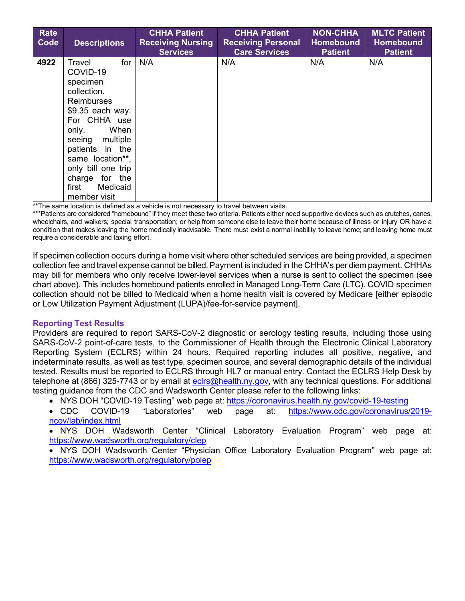| <b>Rate</b><br>Code | <b>Descriptions</b>                                                                                                                                                                                                                                                         | <b>CHHA Patient</b><br><b>Receiving Nursing</b><br><b>Services</b> | <b>CHHA Patient</b><br><b>Receiving Personal</b><br><b>Care Services</b> | <b>NON-CHHA</b><br><b>Homebound</b><br><b>Patient</b> | <b>MLTC Patient</b><br><b>Homebound</b><br><b>Patient</b> |
|---------------------|-----------------------------------------------------------------------------------------------------------------------------------------------------------------------------------------------------------------------------------------------------------------------------|--------------------------------------------------------------------|--------------------------------------------------------------------------|-------------------------------------------------------|-----------------------------------------------------------|
| 4922                | Travel<br>for<br>COVID-19<br>specimen<br>collection.<br><b>Reimburses</b><br>\$9.35 each way.<br>For CHHA use<br>When<br>only.<br>seeing multiple<br>patients in the<br>same location**,<br>only bill one trip<br>for<br>the<br>charge<br>Medicaid<br>first<br>member visit | N/A                                                                | N/A                                                                      | N/A                                                   | N/A                                                       |

\*\*The same location is defined as a vehicle is not necessary to travel between visits.

 wheelchairs, and walkers; special transportation; or help from someone else to leave their home because of illness or injury OR have a condition that makes leaving the homemedically inadvisable. There must exist a normal inability to leave home; and leaving home must \*\*\*Patients are considered "homebound" if they meet these two criteria. Patients either need supportive devices such as crutches, canes, require a considerable and taxing effort.

 collection fee and travel expense cannot be billed. Payment is included in the CHHA's per diem payment. CHHAs may bill for members who only receive lower-level services when a nurse is sent to collect the specimen (see chart above). This includes homebound patients enrolled in Managed Long-Term Care (LTC). COVID specimen If specimen collection occurs during a home visit where other scheduled services are being provided, a specimen collection should not be billed to Medicaid when a home health visit is covered by Medicare [either episodic or Low Utilization Payment Adjustment (LUPA)/fee-for-service payment].

#### **Reporting Test Results**

 Providers are required to report SARS-CoV-2 diagnostic or serology testing results, including those using SARS-CoV-2 point-of-care tests, to the Commissioner of Health through the Electronic Clinical Laboratory Reporting System (ECLRS) within 24 hours. Required reporting includes all positive, negative, and tested. Results must be reported to ECLRS through HL7 or manual entry. Contact the ECLRS Help Desk by indeterminate results, as well as test type, specimen source, and several demographic details of the individual telephone at (866) 325-7743 or by email at [eclrs@health.ny.gov,](mailto:eclrs@health.ny.gov) with any technical questions. For additional testing guidance from the CDC and Wadsworth Center please refer to the following links:

• NYS DOH "COVID-19 Testing" web page at: https://coronavirus.health.ny.gov/covid-19-testing

• CDC COVID-19 "Laboratories" web page at: [https://www.cdc.gov/coronavirus/2019](https://www.cdc.gov/coronavirus/2019-ncov/lab/index.html) [ncov/lab/index.html](https://www.cdc.gov/coronavirus/2019-ncov/lab/index.html) 

• NYS DOH Wadsworth Center "Clinical Laboratory Evaluation Program" web page at: <https://www.wadsworth.org/regulatory/clep>

 • NYS DOH Wadsworth Center "Physician Office Laboratory Evaluation Program" web page at: <https://www.wadsworth.org/regulatory/polep>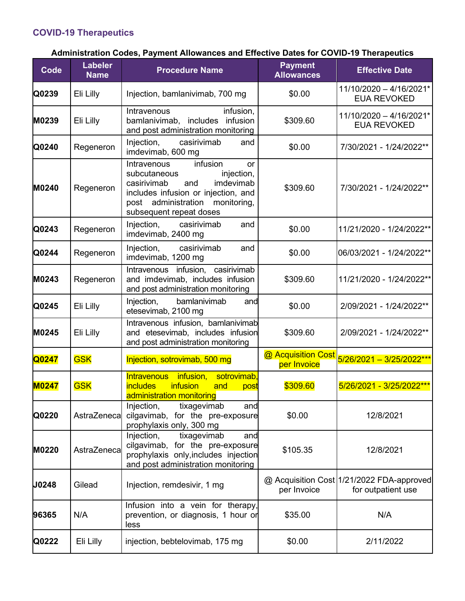# **COVID-19 Therapeutics**

# **Administration Codes, Payment Allowances and Effective Dates for COVID-19 Therapeutics**

| <b>Code</b>  | <b>Labeler</b><br><b>Name</b> | <b>Procedure Name</b>                                                                                                                                                                               | <b>Payment</b><br><b>Allowances</b> | <b>Effective Date</b>                                           |
|--------------|-------------------------------|-----------------------------------------------------------------------------------------------------------------------------------------------------------------------------------------------------|-------------------------------------|-----------------------------------------------------------------|
| Q0239        | Eli Lilly                     | Injection, bamlanivimab, 700 mg                                                                                                                                                                     | \$0.00                              | 11/10/2020 - 4/16/2021*<br><b>EUA REVOKED</b>                   |
| M0239        | Eli Lilly                     | infusion,<br>Intravenous<br>bamlanivimab, includes infusion<br>and post administration monitoring                                                                                                   | \$309.60                            | 11/10/2020 - 4/16/2021*<br><b>EUA REVOKED</b>                   |
| Q0240        | Regeneron                     | Injection,<br>casirivimab<br>and<br>imdevimab, 600 mg                                                                                                                                               | \$0.00                              | 7/30/2021 - 1/24/2022**                                         |
| M0240        | Regeneron                     | infusion<br>Intravenous<br>or<br>subcutaneous<br>injection,<br>imdevimab<br>casirivimab<br>and<br>includes infusion or injection, and<br>post administration monitoring,<br>subsequent repeat doses | \$309.60                            | 7/30/2021 - 1/24/2022**                                         |
| Q0243        | Regeneron                     | Injection, casirivimab<br>and<br>imdevimab, 2400 mg                                                                                                                                                 | \$0.00                              | 11/21/2020 - 1/24/2022**                                        |
| Q0244        | Regeneron                     | Injection, casirivimab<br>and<br>imdevimab, 1200 mg                                                                                                                                                 | \$0.00                              | 06/03/2021 - 1/24/2022**                                        |
| M0243        | Regeneron                     | Intravenous infusion, casirivimab<br>and imdevimab, includes infusion<br>and post administration monitoring                                                                                         | \$309.60                            | 11/21/2020 - 1/24/2022**                                        |
| Q0245        | Eli Lilly                     | Injection,<br>bamlanivimab<br>and<br>etesevimab, 2100 mg                                                                                                                                            | \$0.00                              | 2/09/2021 - 1/24/2022**                                         |
| M0245        | Eli Lilly                     | Intravenous infusion, bamlanivimab<br>and etesevimab, includes infusion<br>and post administration monitoring                                                                                       | \$309.60                            | 2/09/2021 - 1/24/2022**                                         |
| Q0247        | <b>GSK</b>                    | Injection, sotrovimab, 500 mg                                                                                                                                                                       | @ Acquisition Cost<br>per Invoice   | 5/26/2021 - 3/25/2022***                                        |
| <b>M0247</b> | <b>GSK</b>                    | Intravenous infusion,<br>sotrovimab.<br><b>infusion</b><br><b>includes</b><br>and<br>post<br>administration monitoring                                                                              | \$309.60                            | 5/26/2021 - 3/25/2022***                                        |
| Q0220        | AstraZeneca                   | Injection,<br>tixagevimab<br>and<br>cilgavimab, for the pre-exposure<br>prophylaxis only, 300 mg                                                                                                    | \$0.00                              | 12/8/2021                                                       |
| M0220        | AstraZeneca                   | Injection,<br>tixagevimab<br>and<br>cilgavimab, for the pre-exposure<br>prophylaxis only, includes injection<br>and post administration monitoring                                                  | \$105.35                            | 12/8/2021                                                       |
| <b>J0248</b> | Gilead                        | Injection, remdesivir, 1 mg                                                                                                                                                                         | per Invoice                         | @ Acquisition Cost 1/21/2022 FDA-approved<br>for outpatient use |
| 96365        | N/A                           | Infusion into a vein for therapy,<br>prevention, or diagnosis, 1 hour or<br>less                                                                                                                    | \$35.00                             | N/A                                                             |
| Q0222        | Eli Lilly                     | injection, bebtelovimab, 175 mg                                                                                                                                                                     | \$0.00                              | 2/11/2022                                                       |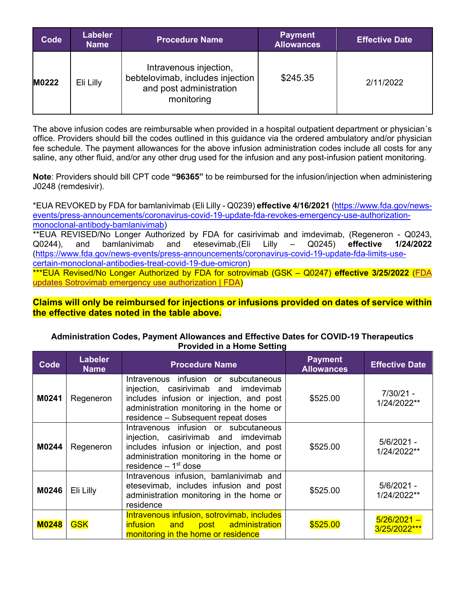| Code  | <b>Labeler</b><br><b>Name</b> | <b>Procedure Name</b>                                                                               | <b>Payment</b><br><b>Allowances</b> | <b>Effective Date</b> |
|-------|-------------------------------|-----------------------------------------------------------------------------------------------------|-------------------------------------|-----------------------|
| M0222 | Eli Lilly                     | Intravenous injection,<br>bebtelovimab, includes injection<br>and post administration<br>monitoring | \$245.35                            | 2/11/2022             |

The above infusion codes are reimbursable when provided in a hospital outpatient department or physician´s office. Providers should bill the codes outlined in this guidance via the ordered ambulatory and/or physician fee schedule. The payment allowances for the above infusion administration codes include all costs for any saline, any other fluid, and/or any other drug used for the infusion and any post-infusion patient monitoring.

 **Note**: Providers should bill CPT code **"96365"** to be reimbursed for the infusion/injection when administering J0248 (remdesivir).

 \*\*EUA REVISED/No Longer Authorized by FDA for casirivimab and imdevimab, (Regeneron - Q0243, Lilly \*EUA REVOKED by FDA for bamlanivimab (Eli Lilly - Q0239) **effective 4/16/2021** [\(https://www.fda.gov/news](https://www.fda.gov/news-events/press-announcements/coronavirus-covid-19-update-fda-revokes-emergency-use-authorization-monoclonal-antibody-bamlanivimab)[events/press-announcements/coronavirus-covid-19-update-fda-revokes-emergency-use-authorization](https://www.fda.gov/news-events/press-announcements/coronavirus-covid-19-update-fda-revokes-emergency-use-authorization-monoclonal-antibody-bamlanivimab)[monoclonal-antibody-bamlanivimab\)](https://www.fda.gov/news-events/press-announcements/coronavirus-covid-19-update-fda-revokes-emergency-use-authorization-monoclonal-antibody-bamlanivimab) Q0244), and bamlanivimab and etesevimab,(Eli Lilly – Q0245) **effective 1/24/2022**  [\(https://www.fda.gov/news-events/press-announcements/coronavirus-covid-19-update-fda-limits-use](https://www.fda.gov/news-events/press-announcements/coronavirus-covid-19-update-fda-limits-use-certain-monoclonal-antibodies-treat-covid-19-due-omicron)[certain-monoclonal-antibodies-treat-covid-19-due-omicron\)](https://www.fda.gov/news-events/press-announcements/coronavirus-covid-19-update-fda-limits-use-certain-monoclonal-antibodies-treat-covid-19-due-omicron)

\*\*\*EUA Revised/No Longer Authorized by FDA for sotrovimab (GSK – Q0247) **effective 3/25/2022** [\(FDA](https://www.fda.gov/drugs/drug-safety-and-availability/fda-updates-sotrovimab-emergency-use-authorization#:%7E:text=Today%2C%20considering%20the%20most%20recent,Services%20%5BHHS%5D%20Region%201))  [updates Sotrovimab emergency use authorization | FDA\)](https://www.fda.gov/drugs/drug-safety-and-availability/fda-updates-sotrovimab-emergency-use-authorization#:%7E:text=Today%2C%20considering%20the%20most%20recent,Services%20%5BHHS%5D%20Region%201))

 **the effective dates noted in the table above. Claims will only be reimbursed for injections or infusions provided on dates of service within**

#### **Administration Codes, Payment Allowances and Effective Dates for COVID-19 Therapeutics Provided in a Home Setting**

| Code         | <b>Labeler</b><br><b>Name</b> | <b>Procedure Name</b>                                                                                                                                                                                       | <b>Payment</b><br><b>Allowances</b> | <b>Effective Date</b>         |
|--------------|-------------------------------|-------------------------------------------------------------------------------------------------------------------------------------------------------------------------------------------------------------|-------------------------------------|-------------------------------|
| M0241        | Regeneron                     | Intravenous infusion or subcutaneous<br>injection, casirivimab and imdevimab<br>includes infusion or injection, and post<br>administration monitoring in the home or<br>residence - Subsequent repeat doses | \$525.00                            | $7/30/21 -$<br>1/24/2022**    |
| M0244        | Regeneron                     | Intravenous infusion or subcutaneous<br>injection, casirivimab and imdevimab<br>includes infusion or injection, and post<br>administration monitoring in the home or<br>residence $-1st$ dose               | \$525.00                            | $5/6/2021 -$<br>1/24/2022**   |
| M0246        | Eli Lilly                     | Intravenous infusion, bamlanivimab and<br>etesevimab, includes infusion and post<br>administration monitoring in the home or<br>residence                                                                   | \$525.00                            | $5/6/2021 -$<br>1/24/2022**   |
| <b>M0248</b> | <b>GSK</b>                    | Intravenous infusion, sotrovimab, includes<br>infusion and post administration<br>monitoring in the home or residence                                                                                       | \$525.00                            | $5/26/2021 -$<br>3/25/2022*** |
|              |                               |                                                                                                                                                                                                             |                                     |                               |